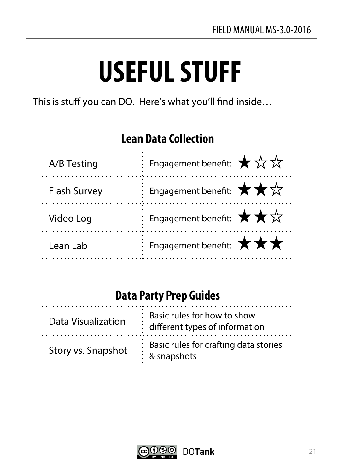# **USEFUL STUFF**

This is stuff you can DO. Here's what you'll find inside...

# **Lean Data Collection**

| A/B Testing         | Engagement benefit: $\bigstar \propto \sqrt{\overline{\lambda}}$                              |
|---------------------|-----------------------------------------------------------------------------------------------|
| <b>Flash Survey</b> | $\frac{1}{2}$ : Engagement benefit: $\bigstar \star \vec{x}$                                  |
| Video Log           | $\overline{\mathcal{C}}$ Engagement benefit: $\bigstar \star \overleftrightarrow{\mathbf{x}}$ |
| Lean Lab            | Engagement benefit: $\star \star \star$                                                       |

# **Data Party Prep Guides**

| Data Visualization | : Basic rules for how to show<br>: different types of information          |
|--------------------|----------------------------------------------------------------------------|
| Story vs. Snapshot | : Basic rules for crafting data stories<br>$\blacksquare$<br>: & snapshots |

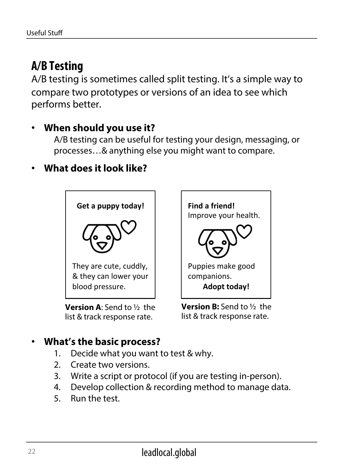# **A/B Testing**

A/B testing is sometimes called split testing. It's a simple way to compare two prototypes or versions of an idea to see which performs better.

#### • **When should you use it?**

A/B testing can be useful for testing your design, messaging, or processes…& anything else you might want to compare.

#### • **What does it look like?**



**Version A**: Send to ½ the list & track response rate.



**Version B:** Send to ½ the list & track response rate.

- 1. Decide what you want to test & why.
- 2. Create two versions.
- 3. Write a script or protocol (if you are testing in-person).
- 4. Develop collection & recording method to manage data.
- 5. Run the test.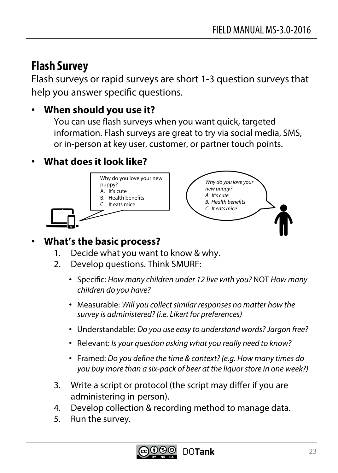# **Flash Survey**

Flash surveys or rapid surveys are short 1-3 question surveys that help you answer specifc questions.

## • **When should you use it?**

You can use fash surveys when you want quick, targeted information. Flash surveys are great to try via social media, SMS, or in-person at key user, customer, or partner touch points.

## • **What does it look like?**



- 1. Decide what you want to know & why.
- 2. Develop questions. Think SMURF:
	- Specifc: *How many children under 12 live with you?* NOT *How many children do you have?*
	- Measurable: *Will you collect similar responses no matter how the survey is administered? (i.e. Likert for preferences)*
	- Understandable: *Do you use easy to understand words? Jargon free?*
	- Relevant: *Is your question asking what you really need to know?*
	- Framed: *Do you de*f*ne the time & context? (e.g. How many times do you buy more than a six-pack of beer at the liquor store in one week?)*
- 3. Write a script or protocol (the script may difer if you are administering in-person).
- 4. Develop collection & recording method to manage data.
- 5. Run the survey.

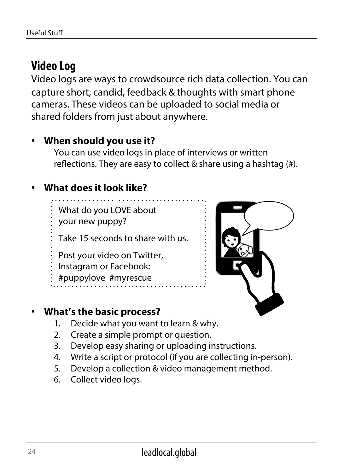# **Video Log**

Video logs are ways to crowdsource rich data collection. You can capture short, candid, feedback & thoughts with smart phone cameras. These videos can be uploaded to social media or shared folders from just about anywhere.

#### • **When should you use it?**

You can use video logs in place of interviews or written refections. They are easy to collect & share using a hashtag (#).

## • **What does it look like?**

What do you LOVE about

your new puppy?

Take 15 seconds to share with us.

- Post your video on Twitter,
- Instagram or Facebook:
- #puppylove #myrescue





- 1. Decide what you want to learn & why.
- 2. Create a simple prompt or question.
- 3. Develop easy sharing or uploading instructions.
- 4. Write a script or protocol (if you are collecting in-person).
- 5. Develop a collection & video management method.
- 6. Collect video logs.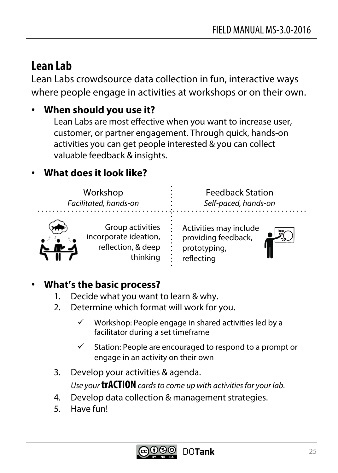# **Lean Lab**

Lean Labs crowdsource data collection in fun, interactive ways where people engage in activities at workshops or on their own.

## • **When should you use it?**

Lean Labs are most effective when you want to increase user, customer, or partner engagement. Through quick, hands-on activities you can get people interested & you can collect valuable feedback & insights.

## • **What does it look like?**

Workshop *Facilitated, hands-on* 

Feedback Station *Self-paced, hands-on* 



Group activities incorporate ideation, refection, & deep thinking

Activities may include providing feedback, prototyping, reflecting



- 1. Decide what you want to learn & why.
- 2. Determine which format will work for you.
	- $\checkmark$  Workshop: People engage in shared activities led by a facilitator during a set timeframe
	- $\checkmark$  Station: People are encouraged to respond to a prompt or engage in an activity on their own
- 3. Develop your activities & agenda. *Use your* **trACTION** *cards to come up with activities for your lab.*
- 4. Develop data collection & management strategies.
- 5. Have fun!

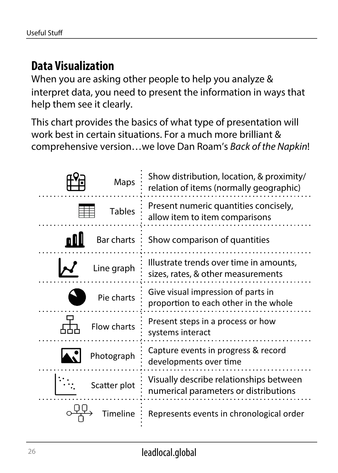# **Data Visualization**

When you are asking other people to help you analyze & interpret data, you need to present the information in ways that help them see it clearly.

This chart provides the basics of what type of presentation will work best in certain situations. For a much more brilliant & comprehensive version…we love Dan Roam's *Back of the Napkin*!

| Maps          | Show distribution, location, & proximity/<br>relation of items (normally geographic) |
|---------------|--------------------------------------------------------------------------------------|
| <b>Tables</b> | Present numeric quantities concisely,<br>allow item to item comparisons              |
| Bar charts    | Show comparison of quantities                                                        |
| Line graph    | Illustrate trends over time in amounts,<br>sizes, rates, & other measurements        |
| Pie charts    | Give visual impression of parts in<br>proportion to each other in the whole          |
| Flow charts   | Present steps in a process or how<br>systems interact                                |
| Photograph    | Capture events in progress & record<br>developments over time                        |
| Scatter plot  | Visually describe relationships between<br>numerical parameters or distributions     |
| neline        | Represents events in chronological order                                             |